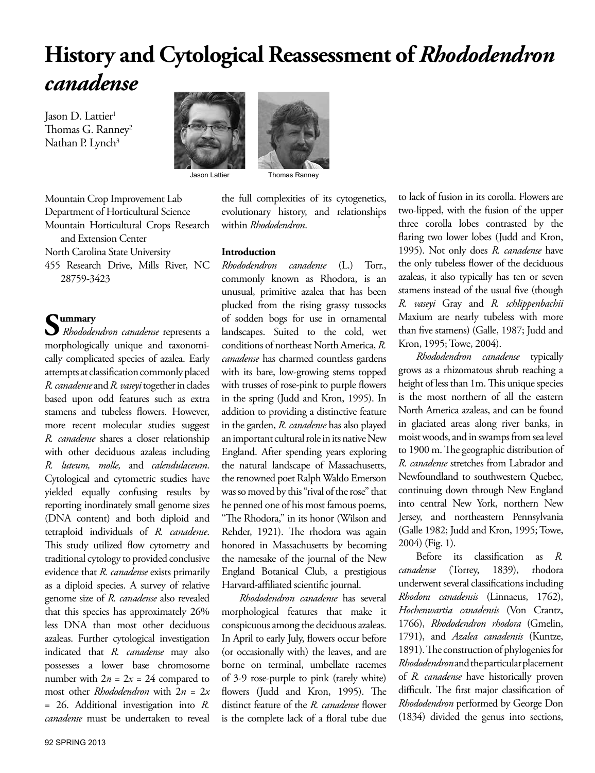# **History and Cytological Reassessment of** *Rhododendron canadense*

Jason D. Lattier<sup>1</sup> Thomas G. Ranney<sup>2</sup> Nathan P. Lynch<sup>3</sup>





Jason Lattier Thomas Ranney

Mountain Crop Improvement Lab Department of Horticultural Science Mountain Horticultural Crops Research and Extension Center North Carolina State University

455 Research Drive, Mills River, NC 28759-3423

**Summary** *Rhododendron canadense* represents a morphologically unique and taxonomically complicated species of azalea. Early attempts at classification commonly placed *R. canadense* and *R. vaseyi* together in clades based upon odd features such as extra stamens and tubeless flowers. However, more recent molecular studies suggest *R. canadense* shares a closer relationship with other deciduous azaleas including *R. luteum, molle,* and *calendulaceum*. Cytological and cytometric studies have yielded equally confusing results by reporting inordinately small genome sizes (DNA content) and both diploid and tetraploid individuals of *R. canadense*. This study utilized flow cytometry and traditional cytology to provided conclusive evidence that *R. canadense* exists primarily as a diploid species. A survey of relative genome size of *R. canadense* also revealed that this species has approximately 26% less DNA than most other deciduous azaleas. Further cytological investigation indicated that *R. canadense* may also possesses a lower base chromosome number with  $2n = 2x = 24$  compared to most other *Rhododendron* with 2*n* = 2*x* = 26. Additional investigation into *R. canadense* must be undertaken to reveal

the full complexities of its cytogenetics, evolutionary history, and relationships within *Rhododendron*.

### **Introduction**

*Rhododendron canadense* (L.) Torr., commonly known as Rhodora, is an unusual, primitive azalea that has been plucked from the rising grassy tussocks of sodden bogs for use in ornamental landscapes. Suited to the cold, wet conditions of northeast North America, *R. canadense* has charmed countless gardens with its bare, low-growing stems topped with trusses of rose-pink to purple flowers in the spring (Judd and Kron, 1995). In addition to providing a distinctive feature in the garden, *R. canadense* has also played an important cultural role in its native New England. After spending years exploring the natural landscape of Massachusetts, the renowned poet Ralph Waldo Emerson was so moved by this "rival of the rose" that he penned one of his most famous poems, "The Rhodora," in its honor (Wilson and Rehder, 1921). The rhodora was again honored in Massachusetts by becoming the namesake of the journal of the New England Botanical Club, a prestigious Harvard-affiliated scientific journal.

*Rhododendron canadense* has several morphological features that make it conspicuous among the deciduous azaleas. In April to early July, flowers occur before (or occasionally with) the leaves, and are borne on terminal, umbellate racemes of 3-9 rose-purple to pink (rarely white) flowers (Judd and Kron, 1995). The distinct feature of the *R. canadense* flower is the complete lack of a floral tube due to lack of fusion in its corolla. Flowers are two-lipped, with the fusion of the upper three corolla lobes contrasted by the flaring two lower lobes (Judd and Kron, 1995). Not only does *R. canadense* have the only tubeless flower of the deciduous azaleas, it also typically has ten or seven stamens instead of the usual five (though *R. vaseyi* Gray and *R. schlippenbachii* Maxium are nearly tubeless with more than five stamens) (Galle, 1987; Judd and Kron, 1995; Towe, 2004).

*Rhododendron canadense* typically grows as a rhizomatous shrub reaching a height of less than 1m. This unique species is the most northern of all the eastern North America azaleas, and can be found in glaciated areas along river banks, in moist woods, and in swamps from sea level to 1900 m. The geographic distribution of *R. canadense* stretches from Labrador and Newfoundland to southwestern Quebec, continuing down through New England into central New York, northern New Jersey, and northeastern Pennsylvania (Galle 1982; Judd and Kron, 1995; Towe, 2004) (Fig. 1).

Before its classification as *R. canadense* (Torrey, 1839), rhodora underwent several classifications including *Rhodora canadensis* (Linnaeus, 1762), *Hochenwartia canadensis* (Von Crantz, 1766), *Rhododendron rhodora* (Gmelin, 1791), and *Azalea canadensis* (Kuntze, 1891). The construction of phylogenies for *Rhododendron* and the particular placement of *R. canadense* have historically proven difficult. The first major classification of *Rhododendron* performed by George Don (1834) divided the genus into sections,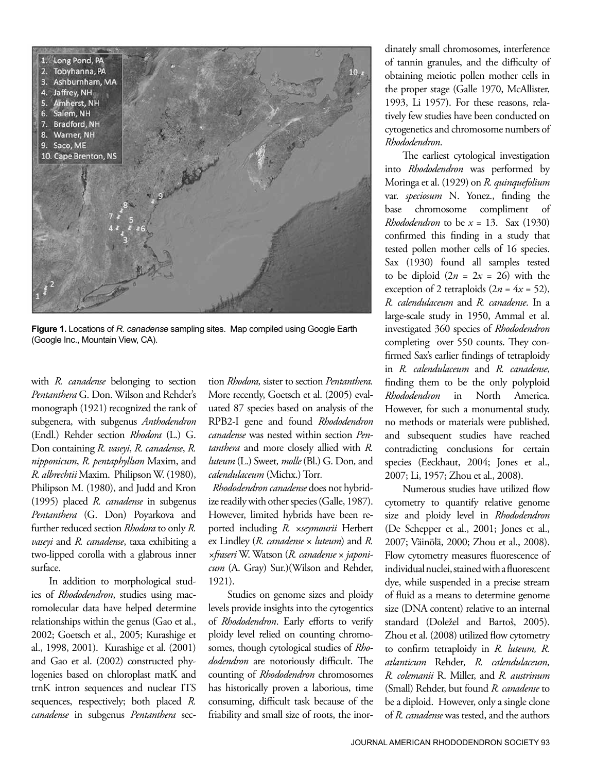

**Figure 1.** Locations of *R. canadense* sampling sites. Map compiled using Google Earth (Google Inc., Mountain View, CA).

with *R. canadense* belonging to section *Pentanthera* G. Don. Wilson and Rehder's monograph (1921) recognized the rank of subgenera, with subgenus *Anthodendron*  (Endl.) Rehder section *Rhodora* (L.) G. Don containing *R. vaseyi*, *R. canadense*, *R. nipponicum*, *R. pentaphyllum* Maxim, and *R. albrechtii* Maxim. Philipson W. (1980), Philipson M. (1980), and Judd and Kron (1995) placed *R. canadense* in subgenus *Pentanthera* (G. Don) Poyarkova and further reduced section *Rhodora* to only *R. vaseyi* and *R. canadense*, taxa exhibiting a two-lipped corolla with a glabrous inner surface.

In addition to morphological studies of *Rhododendron*, studies using macromolecular data have helped determine relationships within the genus (Gao et al., 2002; Goetsch et al., 2005; Kurashige et al., 1998, 2001). Kurashige et al. (2001) and Gao et al. (2002) constructed phylogenies based on chloroplast matK and trnK intron sequences and nuclear ITS sequences, respectively; both placed *R. canadense* in subgenus *Pentanthera* section *Rhodora,* sister to section *Pentanthera.* More recently, Goetsch et al. (2005) evaluated 87 species based on analysis of the RPB2-I gene and found *Rhododendron canadense* was nested within section *Pentanthera* and more closely allied with *R. luteum* (L.) Sweet*, molle* (Bl.) G. Don*,* and *calendulaceum* (Michx.) Torr*.*

 *Rhododendron canadense* does not hybridize readily with other species (Galle, 1987). However, limited hybrids have been reported including *R. ×seymourii* Herbert ex Lindley (*R. canadense* × *luteum*) and *R. ×fraseri* W. Watson (*R. canadense* × *japonicum* (A. Gray) Sur.)(Wilson and Rehder, 1921).

 Studies on genome sizes and ploidy levels provide insights into the cytogentics of *Rhododendron*. Early efforts to verify ploidy level relied on counting chromosomes, though cytological studies of *Rhododendron* are notoriously difficult. The counting of *Rhododendron* chromosomes has historically proven a laborious, time consuming, difficult task because of the friability and small size of roots, the inordinately small chromosomes, interference of tannin granules, and the difficulty of obtaining meiotic pollen mother cells in the proper stage (Galle 1970, McAllister, 1993, Li 1957). For these reasons, relatively few studies have been conducted on cytogenetics and chromosome numbers of *Rhododendron*.

The earliest cytological investigation into *Rhododendron* was performed by Moringa et al. (1929) on *R. quinquefolium*  var. *speciosum* N. Yonez., finding the base chromosome compliment of *Rhododendron* to be *x* = 13. Sax (1930) confirmed this finding in a study that tested pollen mother cells of 16 species. Sax (1930) found all samples tested to be diploid  $(2n = 2x = 26)$  with the exception of 2 tetraploids  $(2n = 4x = 52)$ , *R. calendulaceum* and *R. canadense*. In a large-scale study in 1950, Ammal et al. investigated 360 species of *Rhododendron* completing over 550 counts. They confirmed Sax's earlier findings of tetraploidy in *R. calendulaceum* and *R. canadense*, finding them to be the only polyploid *Rhododendron* in North America. However, for such a monumental study, no methods or materials were published, and subsequent studies have reached contradicting conclusions for certain species (Eeckhaut, 2004; Jones et al., 2007; Li, 1957; Zhou et al., 2008).

Numerous studies have utilized flow cytometry to quantify relative genome size and ploidy level in *Rhododendron* (De Schepper et al., 2001; Jones et al., 2007; Väinölä, 2000; Zhou et al., 2008). Flow cytometry measures fluorescence of individual nuclei, stained with a fluorescent dye, while suspended in a precise stream of fluid as a means to determine genome size (DNA content) relative to an internal standard (Doležel and Bartoš, 2005). Zhou et al. (2008) utilized flow cytometry to confirm tetraploidy in *R. luteum, R. atlanticum* Rehder*, R. calendulaceum, R. colemanii* R. Miller, and *R. austrinum*  (Small) Rehder, but found *R. canadense* to be a diploid. However, only a single clone of *R. canadense* was tested, and the authors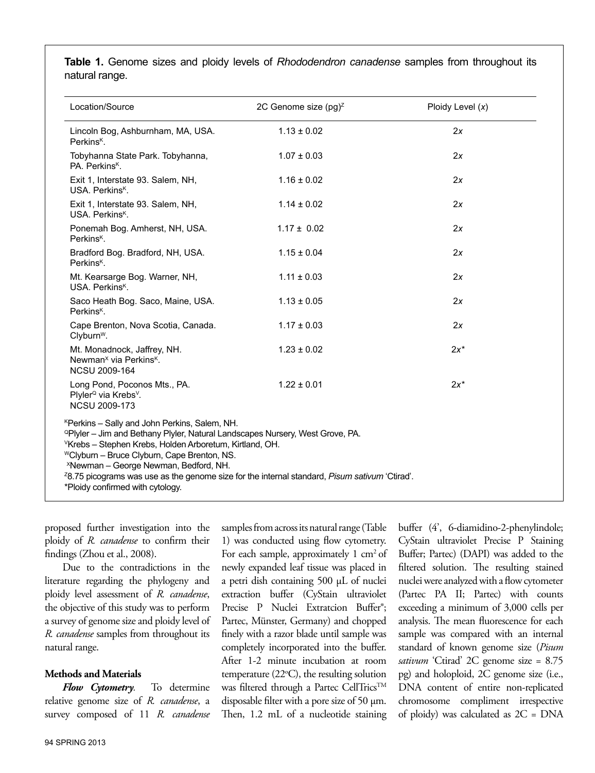**Table 1.** Genome sizes and ploidy levels of *Rhododendron canadense* samples from throughout its natural range.

| Location/Source                                                                                                                                                                                                                                                                                                                                                                                                                                                                    | 2C Genome size $(pg)^{z}$ | Ploidy Level $(x)$ |
|------------------------------------------------------------------------------------------------------------------------------------------------------------------------------------------------------------------------------------------------------------------------------------------------------------------------------------------------------------------------------------------------------------------------------------------------------------------------------------|---------------------------|--------------------|
| Lincoln Bog, Ashburnham, MA, USA.<br>Perkins <sup>K</sup> .                                                                                                                                                                                                                                                                                                                                                                                                                        | $1.13 \pm 0.02$           | 2x                 |
| Tobyhanna State Park. Tobyhanna,<br>PA. Perkins <sup>K</sup> .                                                                                                                                                                                                                                                                                                                                                                                                                     | $1.07 \pm 0.03$           | 2x                 |
| Exit 1, Interstate 93. Salem, NH,<br>USA. Perkins <sup>K</sup> .                                                                                                                                                                                                                                                                                                                                                                                                                   | $1.16 \pm 0.02$           | 2x                 |
| Exit 1, Interstate 93. Salem, NH,<br>USA, Perkins <sup>K</sup> .                                                                                                                                                                                                                                                                                                                                                                                                                   | $1.14 \pm 0.02$           | 2x                 |
| Ponemah Bog. Amherst, NH, USA.<br>Perkins <sup>K</sup> .                                                                                                                                                                                                                                                                                                                                                                                                                           | $1.17 \pm 0.02$           | 2x                 |
| Bradford Bog. Bradford, NH, USA.<br>Perkins <sup>K</sup> .                                                                                                                                                                                                                                                                                                                                                                                                                         | $1.15 \pm 0.04$           | 2x                 |
| Mt. Kearsarge Bog. Warner, NH,<br>USA. Perkins <sup>K</sup> .                                                                                                                                                                                                                                                                                                                                                                                                                      | $1.11 \pm 0.03$           | 2x                 |
| Saco Heath Bog. Saco, Maine, USA.<br>Perkins <sup>K</sup> .                                                                                                                                                                                                                                                                                                                                                                                                                        | $1.13 \pm 0.05$           | 2x                 |
| Cape Brenton, Nova Scotia, Canada.<br>Clyburn <sup>w</sup> .                                                                                                                                                                                                                                                                                                                                                                                                                       | $1.17 \pm 0.03$           | 2x                 |
| Mt. Monadnock, Jaffrey, NH.<br>Newman <sup>x</sup> via Perkins <sup>k</sup> .<br><b>NCSU 2009-164</b>                                                                                                                                                                                                                                                                                                                                                                              | $1.23 \pm 0.02$           | $2x^*$             |
| Long Pond, Poconos Mts., PA.<br>Plyler <sup>Q</sup> via Krebs <sup>v</sup> .<br><b>NCSU 2009-173</b>                                                                                                                                                                                                                                                                                                                                                                               | $1.22 \pm 0.01$           | $2x^*$             |
| <sup>K</sup> Perkins - Sally and John Perkins, Salem, NH.<br><sup>Q</sup> Plyler – Jim and Bethany Plyler, Natural Landscapes Nursery, West Grove, PA.<br><sup>V</sup> Krebs - Stephen Krebs, Holden Arboretum, Kirtland, OH.<br>"Clyburn - Bruce Clyburn, Cape Brenton, NS.<br><sup>X</sup> Newman - George Newman, Bedford, NH.<br><sup>2</sup> 8.75 picograms was use as the genome size for the internal standard, Pisum sativum 'Ctirad'.<br>*Ploidy confirmed with cytology. |                           |                    |

proposed further investigation into the ploidy of *R. canadense* to confirm their findings (Zhou et al., 2008).

Due to the contradictions in the literature regarding the phylogeny and ploidy level assessment of *R. canadense*, the objective of this study was to perform a survey of genome size and ploidy level of *R. canadense* samples from throughout its natural range.

#### **Methods and Materials**

*Flow Cytometry.* To determine relative genome size of *R. canadense*, a survey composed of 11 *R. canadense* 

samples from across its natural range (Table 1) was conducted using flow cytometry. For each sample, approximately  $1 \text{ cm}^2$  of newly expanded leaf tissue was placed in a petri dish containing 500 µL of nuclei extraction buffer (CyStain ultraviolet Precise P Nuclei Extratcion Buffer®; Partec, Münster, Germany) and chopped finely with a razor blade until sample was completely incorporated into the buffer. After 1-2 minute incubation at room temperature (22°C), the resulting solution was filtered through a Partec CellTrics<sup>™</sup> disposable filter with a pore size of 50 µm. Then, 1.2 mL of a nucleotide staining

buffer (4', 6-diamidino-2-phenylindole; CyStain ultraviolet Precise P Staining Buffer; Partec) (DAPI) was added to the filtered solution. The resulting stained nuclei were analyzed with a flow cytometer (Partec PA II; Partec) with counts exceeding a minimum of 3,000 cells per analysis. The mean fluorescence for each sample was compared with an internal standard of known genome size (*Pisum sativum* 'Ctirad' 2C genome size = 8.75 pg) and holoploid, 2C genome size (i.e., DNA content of entire non-replicated chromosome compliment irrespective of ploidy) was calculated as 2C = DNA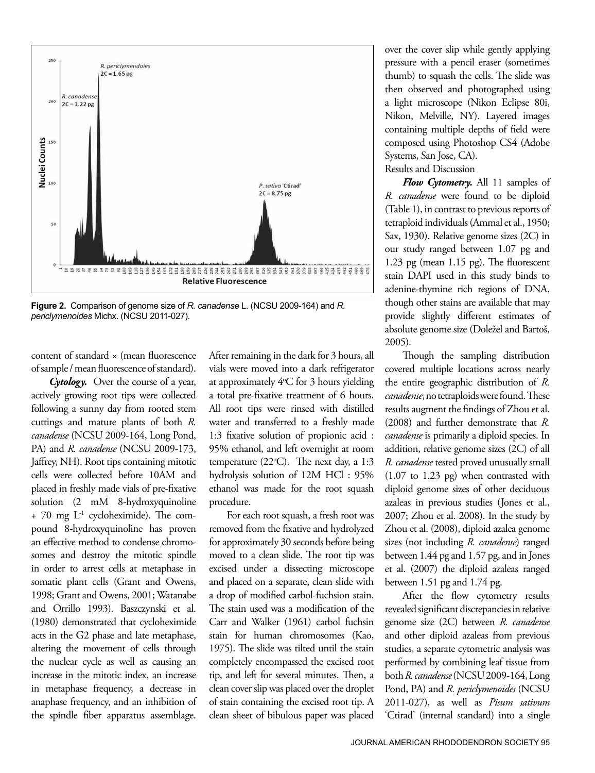

**Figure 2.** Comparison of genome size of *R. canadense* L. (NCSU 2009-164) and *R. periclymenoides* Michx. (NCSU 2011-027).

content of standard × (mean fluorescence of sample / mean fluorescence of standard).

*Cytology.* Over the course of a year, actively growing root tips were collected following a sunny day from rooted stem cuttings and mature plants of both *R. canadense* (NCSU 2009-164, Long Pond, PA) and *R. canadense* (NCSU 2009-173, Jaffrey, NH). Root tips containing mitotic cells were collected before 10AM and placed in freshly made vials of pre-fixative solution (2 mM 8-hydroxyquinoline  $+$  70 mg  $L^{-1}$  cycloheximide). The compound 8-hydroxyquinoline has proven an effective method to condense chromosomes and destroy the mitotic spindle in order to arrest cells at metaphase in somatic plant cells (Grant and Owens, 1998; Grant and Owens, 2001; Watanabe and Orrillo 1993). Baszczynski et al. (1980) demonstrated that cycloheximide acts in the G2 phase and late metaphase, altering the movement of cells through the nuclear cycle as well as causing an increase in the mitotic index, an increase in metaphase frequency, a decrease in anaphase frequency, and an inhibition of the spindle fiber apparatus assemblage.

After remaining in the dark for 3 hours, all vials were moved into a dark refrigerator at approximately 4°C for 3 hours yielding a total pre-fixative treatment of 6 hours. All root tips were rinsed with distilled water and transferred to a freshly made 1:3 fixative solution of propionic acid : 95% ethanol, and left overnight at room temperature (22°C). The next day, a 1:3 hydrolysis solution of 12M HCl : 95% ethanol was made for the root squash procedure.

For each root squash, a fresh root was removed from the fixative and hydrolyzed for approximately 30 seconds before being moved to a clean slide. The root tip was excised under a dissecting microscope and placed on a separate, clean slide with a drop of modified carbol-fuchsion stain. The stain used was a modification of the Carr and Walker (1961) carbol fuchsin stain for human chromosomes (Kao, 1975). The slide was tilted until the stain completely encompassed the excised root tip, and left for several minutes. Then, a clean cover slip was placed over the droplet of stain containing the excised root tip. A clean sheet of bibulous paper was placed over the cover slip while gently applying pressure with a pencil eraser (sometimes thumb) to squash the cells. The slide was then observed and photographed using a light microscope (Nikon Eclipse 80i, Nikon, Melville, NY). Layered images containing multiple depths of field were composed using Photoshop CS4 (Adobe Systems, San Jose, CA).

Results and Discussion

*Flow Cytometry.* All 11 samples of *R. canadense* were found to be diploid (Table 1), in contrast to previous reports of tetraploid individuals (Ammal et al., 1950; Sax, 1930). Relative genome sizes (2C) in our study ranged between 1.07 pg and 1.23 pg (mean 1.15 pg). The fluorescent stain DAPI used in this study binds to adenine-thymine rich regions of DNA, though other stains are available that may provide slightly different estimates of absolute genome size (Doležel and Bartoš, 2005).

Though the sampling distribution covered multiple locations across nearly the entire geographic distribution of *R. canadense*, no tetraploids were found. These results augment the findings of Zhou et al. (2008) and further demonstrate that *R. canadense* is primarily a diploid species. In addition, relative genome sizes (2C) of all *R. canadense* tested proved unusually small (1.07 to 1.23 pg) when contrasted with diploid genome sizes of other deciduous azaleas in previous studies (Jones et al., 2007; Zhou et al. 2008). In the study by Zhou et al. (2008), diploid azalea genome sizes (not including *R. canadense*) ranged between 1.44 pg and 1.57 pg, and in Jones et al. (2007) the diploid azaleas ranged between 1.51 pg and 1.74 pg.

After the flow cytometry results revealed significant discrepancies in relative genome size (2C) between *R. canadense* and other diploid azaleas from previous studies, a separate cytometric analysis was performed by combining leaf tissue from both *R. canadense* (NCSU 2009-164, Long Pond, PA) and *R. periclymenoides* (NCSU 2011-027), as well as *Pisum sativum* 'Ctirad' (internal standard) into a single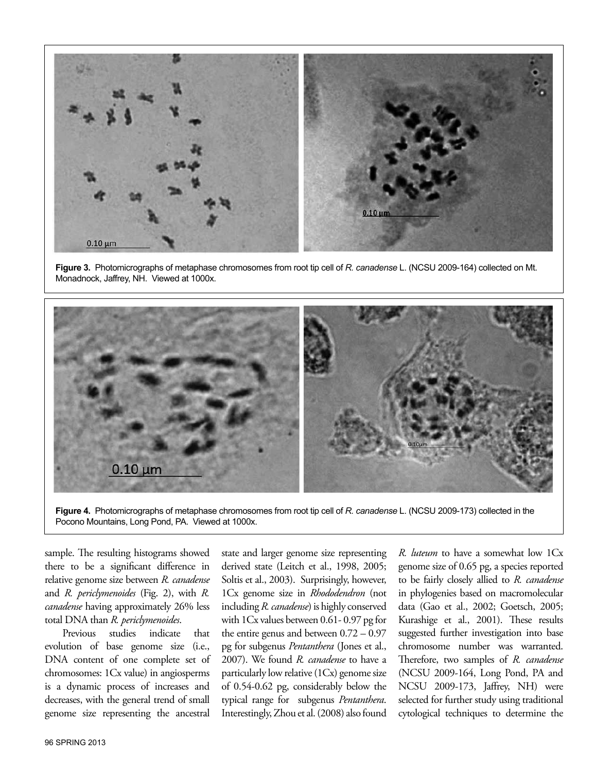

**Figure 3.** Photomicrographs of metaphase chromosomes from root tip cell of *R. canadense* L. (NCSU 2009-164) collected on Mt. Monadnock, Jaffrey, NH. Viewed at 1000x.



**Figure 4.** Photomicrographs of metaphase chromosomes from root tip cell of *R. canadense* L. (NCSU 2009-173) collected in the Pocono Mountains, Long Pond, PA. Viewed at 1000x.

sample. The resulting histograms showed there to be a significant difference in relative genome size between *R. canadense*  and *R. periclymenoides* (Fig. 2), with *R. canadense* having approximately 26% less total DNA than *R. periclymenoides*.

Previous studies indicate that evolution of base genome size (i.e., DNA content of one complete set of chromosomes: 1Cx value) in angiosperms is a dynamic process of increases and decreases, with the general trend of small genome size representing the ancestral

state and larger genome size representing derived state (Leitch et al., 1998, 2005; Soltis et al., 2003). Surprisingly, however, 1Cx genome size in *Rhododendron* (not including *R. canadense*) is highly conserved with 1Cx values between 0.61- 0.97 pg for the entire genus and between 0.72 – 0.97 pg for subgenus *Pentanthera* (Jones et al., 2007). We found *R. canadense* to have a particularly low relative (1Cx) genome size of 0.54-0.62 pg, considerably below the typical range for subgenus *Pentanthera*. Interestingly, Zhou et al. (2008) also found *R. luteum* to have a somewhat low 1Cx genome size of 0.65 pg, a species reported to be fairly closely allied to *R. canadense* in phylogenies based on macromolecular data (Gao et al., 2002; Goetsch, 2005; Kurashige et al., 2001). These results suggested further investigation into base chromosome number was warranted. Therefore, two samples of *R. canadense* (NCSU 2009-164, Long Pond, PA and NCSU 2009-173, Jaffrey, NH) were selected for further study using traditional cytological techniques to determine the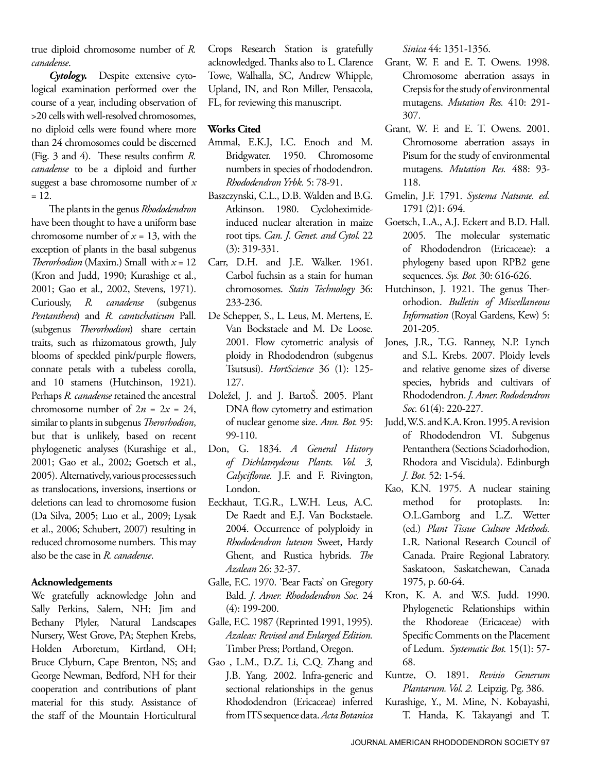true diploid chromosome number of *R. canadense*.

*Cytology.* Despite extensive cytological examination performed over the course of a year, including observation of >20 cells with well-resolved chromosomes, no diploid cells were found where more than 24 chromosomes could be discerned (Fig. 3 and 4). These results confirm *R. canadense* to be a diploid and further suggest a base chromosome number of *x*  $= 12.$ 

The plants in the genus *Rhododendron* have been thought to have a uniform base chromosome number of  $x = 13$ , with the exception of plants in the basal subgenus *Therorhodion* (Maxim.) Small with *x* = 12 (Kron and Judd, 1990; Kurashige et al., 2001; Gao et al., 2002, Stevens, 1971). Curiously, *R. canadense* (subgenus *Pentanthera*) and *R. camtschaticum* Pall. (subgenus *Therorhodion*) share certain traits, such as rhizomatous growth, July blooms of speckled pink/purple flowers, connate petals with a tubeless corolla, and 10 stamens (Hutchinson, 1921). Perhaps *R. canadense* retained the ancestral chromosome number of  $2n = 2x = 24$ , similar to plants in subgenus *Therorhodion*, but that is unlikely, based on recent phylogenetic analyses (Kurashige et al., 2001; Gao et al., 2002; Goetsch et al., 2005). Alternatively, various processes such as translocations, inversions, insertions or deletions can lead to chromosome fusion (Da Silva, 2005; Luo et al., 2009; Lysak et al., 2006; Schubert, 2007) resulting in reduced chromosome numbers. This may also be the case in *R. canadense*.

#### **Acknowledgements**

We gratefully acknowledge John and Sally Perkins, Salem, NH; Jim and Bethany Plyler, Natural Landscapes Nursery, West Grove, PA; Stephen Krebs, Holden Arboretum, Kirtland, OH; Bruce Clyburn, Cape Brenton, NS; and George Newman, Bedford, NH for their cooperation and contributions of plant material for this study. Assistance of the staff of the Mountain Horticultural

Crops Research Station is gratefully acknowledged. Thanks also to L. Clarence Towe, Walhalla, SC, Andrew Whipple, Upland, IN, and Ron Miller, Pensacola, FL, for reviewing this manuscript.

#### **Works Cited**

- Ammal, E.K.J, I.C. Enoch and M. Bridgwater. 1950. Chromosome numbers in species of rhododendron. *Rhododendron Yrbk.* 5: 78-91.
- Baszczynski, C.L., D.B. Walden and B.G. Atkinson. 1980. Cycloheximideinduced nuclear alteration in maize root tips. *Can. J. Genet. and Cytol.* 22 (3): 319-331.
- Carr, D.H. and J.E. Walker. 1961. Carbol fuchsin as a stain for human chromosomes. *Stain Technology* 36: 233-236.
- De Schepper, S., L. Leus, M. Mertens, E. Van Bockstaele and M. De Loose. 2001. Flow cytometric analysis of ploidy in Rhododendron (subgenus Tsutsusi). *HortScience* 36 (1): 125- 127.
- Doležel, J. and J. BartoŠ. 2005. Plant DNA flow cytometry and estimation of nuclear genome size. *Ann. Bot.* 95: 99-110.
- Don, G. 1834. *A General History of Dichlamydeous Plants. Vol. 3, Calyciflorae.* J.F. and F. Rivington, London.
- Eeckhaut, T.G.R., L.W.H. Leus, A.C. De Raedt and E.J. Van Bockstaele. 2004. Occurrence of polyploidy in *Rhododendron luteum* Sweet, Hardy Ghent, and Rustica hybrids. *The Azalean* 26: 32-37.
- Galle, F.C. 1970. 'Bear Facts' on Gregory Bald. *J. Amer. Rhododendron Soc.* 24 (4): 199-200.
- Galle, F.C. 1987 (Reprinted 1991, 1995). *Azaleas: Revised and Enlarged Edition.* Timber Press; Portland, Oregon.
- Gao , L.M., D.Z. Li, C.Q. Zhang and J.B. Yang. 2002. Infra-generic and sectional relationships in the genus Rhododendron (Ericaceae) inferred from ITS sequence data. *Acta Botanica*

*Sinica* 44: 1351-1356.

- Grant, W. F. and E. T. Owens. 1998. Chromosome aberration assays in Crepsis for the study of environmental mutagens. *Mutation Res.* 410: 291- 307.
- Grant, W. F. and E. T. Owens. 2001. Chromosome aberration assays in Pisum for the study of environmental mutagens. *Mutation Res.* 488: 93- 118.
- Gmelin, J.F. 1791. *Systema Naturae. ed.*  1791 (2)1: 694.
- Goetsch, L.A., A.J. Eckert and B.D. Hall. 2005. The molecular systematic of Rhododendron (Ericaceae): a phylogeny based upon RPB2 gene sequences. *Sys. Bot.* 30: 616-626.
- Hutchinson, J. 1921. The genus Therorhodion. *Bulletin of Miscellaneous Information* (Royal Gardens, Kew) 5: 201-205.
- Jones, J.R., T.G. Ranney, N.P. Lynch and S.L. Krebs. 2007. Ploidy levels and relative genome sizes of diverse species, hybrids and cultivars of Rhododendron. *J. Amer. Rododendron Soc.* 61(4): 220-227.
- Judd, W.S. and K.A. Kron. 1995. A revision of Rhododendron VI. Subgenus Pentanthera (Sections Sciadorhodion, Rhodora and Viscidula). Edinburgh *J. Bot.* 52: 1-54.
- Kao, K.N. 1975. A nuclear staining method for protoplasts. In: O.L.Gamborg and L.Z. Wetter (ed.) *Plant Tissue Culture Methods.*  L.R. National Research Council of Canada. Praire Regional Labratory. Saskatoon, Saskatchewan, Canada 1975, p. 60-64.
- Kron, K. A. and W.S. Judd. 1990. Phylogenetic Relationships within the Rhodoreae (Ericaceae) with Specific Comments on the Placement of Ledum. *Systematic Bot.* 15(1): 57- 68.
- Kuntze, O. 1891. *Revisio Generum Plantarum. Vol. 2.* Leipzig. Pg. 386.
- Kurashige, Y., M. Mine, N. Kobayashi, T. Handa, K. Takayangi and T.